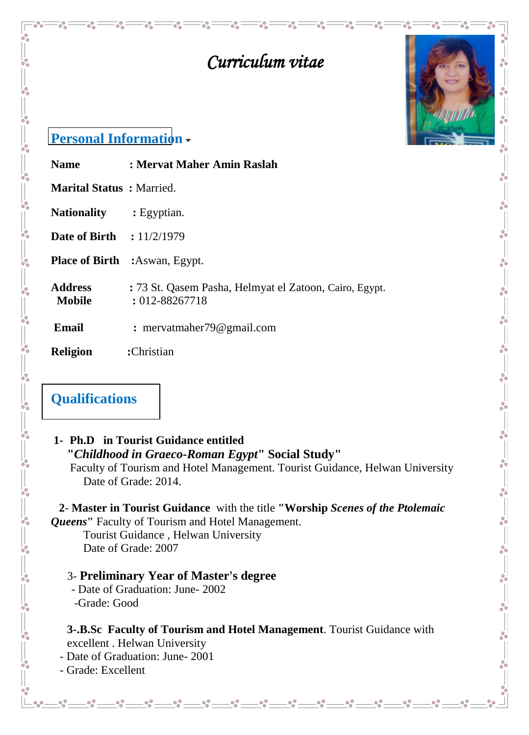

 $\frac{1}{60}$ 

 $^{\circ}_{\circ}$ 

 $-80 - 80 - 80$ 

 $-8^{o}$ 

 $\frac{1}{20}$ 

 $-8^{o-1}$ 

 $\delta_{\rm o}^{\rm o}$ 

 $-$ % $-$ 

 $\circ_{\circ}^{\circ}$ 

# *Curriculum vitae*

### **Personal Information**

**Marital Status :** Married.

**Nationality :** Egyptian.

 $\frac{1}{20}$   $\frac{1}{20}$   $\frac{1}{20}$   $\frac{1}{20}$   $\frac{1}{20}$   $\frac{1}{20}$   $\frac{1}{20}$   $\frac{1}{20}$   $\frac{1}{20}$ 

 $\frac{1}{\sqrt{2}}$ 

 $\frac{1}{2}$   $\frac{1}{2}$   $\frac{1}{2}$   $\frac{1}{2}$   $\frac{1}{2}$   $\frac{1}{2}$   $\frac{1}{2}$   $\frac{1}{2}$   $\frac{1}{2}$   $\frac{1}{2}$   $\frac{1}{2}$   $\frac{1}{2}$   $\frac{1}{2}$   $\frac{1}{2}$   $\frac{1}{2}$   $\frac{1}{2}$   $\frac{1}{2}$   $\frac{1}{2}$   $\frac{1}{2}$   $\frac{1}{2}$   $\frac{1}{2}$   $\frac{1}{2}$ 

 $\frac{1}{\sqrt{2}}$ 

 $\frac{1}{2}$   $\frac{1}{2}$   $\frac{1}{2}$   $\frac{1}{2}$   $\frac{1}{2}$   $\frac{1}{2}$   $\frac{1}{2}$   $\frac{1}{2}$   $\frac{1}{2}$   $\frac{1}{2}$   $\frac{1}{2}$   $\frac{1}{2}$   $\frac{1}{2}$   $\frac{1}{2}$   $\frac{1}{2}$   $\frac{1}{2}$   $\frac{1}{2}$   $\frac{1}{2}$   $\frac{1}{2}$   $\frac{1}{2}$   $\frac{1}{2}$   $\frac{1}{2}$ 

 $\overline{\circ}^{\circ}_{\circ}$ 

 $\overline{\circ}^{\circ}_{\circ}$ 

 $\overline{\circ}^{\circ}_{\circ}$ 

 $\overline{\circ}$ 

**Date of Birth : 11/2/1979** 

**Place of Birth :**Aswan, Egypt.

**Address :** 73 St. Qasem Pasha, Helmyat el Zatoon, Cairo, Egypt. **Mobile** : 012-88267718

**Email** : mervatmaher79@gmail.com

**Name : Mervat Maher Amin Raslah**

 $\overline{\circ}^{\circ}_{\circ}$ 

 $=_\circ^\circ$ 

 $\overline{\circ}^{\circ}_{\circ}$ 

**Religion :**Christian

# **Qualifications**

#### **1- Ph.D in Tourist Guidance entitled "***Childhood in Graeco-Roman Egypt***" Social Study"** Faculty of Tourism and Hotel Management. Tourist Guidance, Helwan University Date of Grade: 2014.

**2**- **Master in Tourist Guidance** with the title **"Worship** *Scenes of the Ptolemaic Queens***"** Faculty of Tourism and Hotel Management.

Tourist Guidance , Helwan University Date of Grade: 2007

#### 3- **Preliminary Year of Master's degree**

 - Date of Graduation: June- 2002 -Grade: Good

**3-.B.Sc Faculty of Tourism and Hotel Management**. Tourist Guidance with excellent . Helwan University

- Date of Graduation: June- 2001

- Grade: Excellent